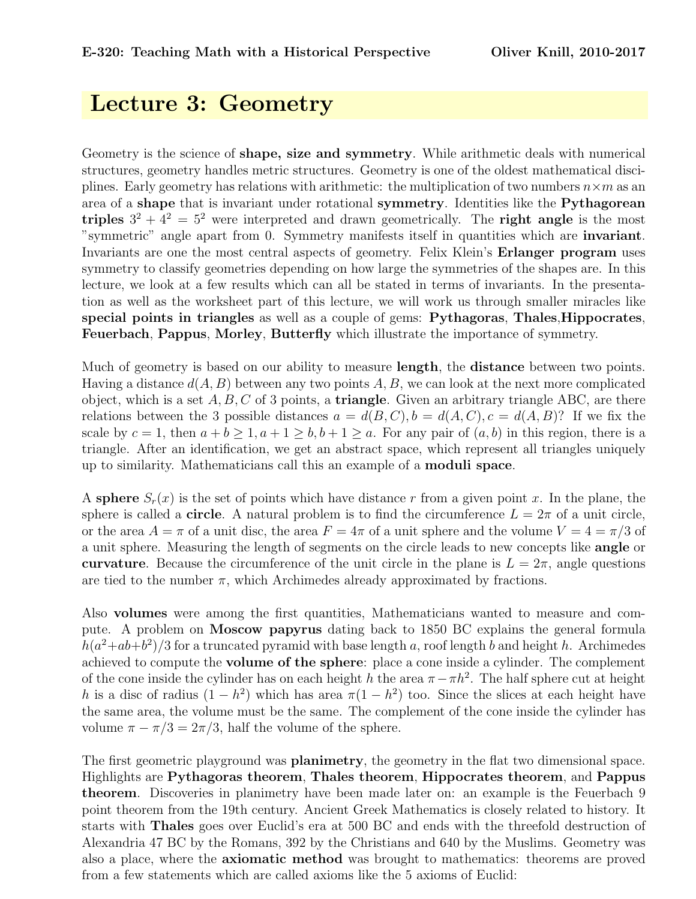## Lecture 3: Geometry

Geometry is the science of shape, size and symmetry. While arithmetic deals with numerical structures, geometry handles metric structures. Geometry is one of the oldest mathematical disciplines. Early geometry has relations with arithmetic: the multiplication of two numbers  $n \times m$  as an area of a **shape** that is invariant under rotational **symmetry**. Identities like the **Pythagorean** triples  $3^2 + 4^2 = 5^2$  were interpreted and drawn geometrically. The right angle is the most "symmetric" angle apart from 0. Symmetry manifests itself in quantities which are invariant. Invariants are one the most central aspects of geometry. Felix Klein's Erlanger program uses symmetry to classify geometries depending on how large the symmetries of the shapes are. In this lecture, we look at a few results which can all be stated in terms of invariants. In the presentation as well as the worksheet part of this lecture, we will work us through smaller miracles like special points in triangles as well as a couple of gems: Pythagoras, Thales,Hippocrates, Feuerbach, Pappus, Morley, Butterfly which illustrate the importance of symmetry.

Much of geometry is based on our ability to measure **length**, the **distance** between two points. Having a distance  $d(A, B)$  between any two points A, B, we can look at the next more complicated object, which is a set  $A, B, C$  of 3 points, a **triangle**. Given an arbitrary triangle ABC, are there relations between the 3 possible distances  $a = d(B, C), b = d(A, C), c = d(A, B)$ ? If we fix the scale by  $c = 1$ , then  $a + b > 1$ ,  $a + 1 > b$ ,  $b + 1 > a$ . For any pair of  $(a, b)$  in this region, there is a triangle. After an identification, we get an abstract space, which represent all triangles uniquely up to similarity. Mathematicians call this an example of a moduli space.

A sphere  $S_r(x)$  is the set of points which have distance r from a given point x. In the plane, the sphere is called a **circle**. A natural problem is to find the circumference  $L = 2\pi$  of a unit circle, or the area  $A = \pi$  of a unit disc, the area  $F = 4\pi$  of a unit sphere and the volume  $V = 4 = \pi/3$  of a unit sphere. Measuring the length of segments on the circle leads to new concepts like angle or curvature. Because the circumference of the unit circle in the plane is  $L = 2\pi$ , angle questions are tied to the number  $\pi$ , which Archimedes already approximated by fractions.

Also volumes were among the first quantities, Mathematicians wanted to measure and compute. A problem on Moscow papyrus dating back to 1850 BC explains the general formula  $h(a^2+ab+b^2)/3$  for a truncated pyramid with base length a, roof length b and height h. Archimedes achieved to compute the volume of the sphere: place a cone inside a cylinder. The complement of the cone inside the cylinder has on each height h the area  $\pi - \pi h^2$ . The half sphere cut at height h is a disc of radius  $(1-h^2)$  which has area  $\pi(1-h^2)$  too. Since the slices at each height have the same area, the volume must be the same. The complement of the cone inside the cylinder has volume  $\pi - \pi/3 = 2\pi/3$ , half the volume of the sphere.

The first geometric playground was **planimetry**, the geometry in the flat two dimensional space. Highlights are Pythagoras theorem, Thales theorem, Hippocrates theorem, and Pappus theorem. Discoveries in planimetry have been made later on: an example is the Feuerbach 9 point theorem from the 19th century. Ancient Greek Mathematics is closely related to history. It starts with Thales goes over Euclid's era at 500 BC and ends with the threefold destruction of Alexandria 47 BC by the Romans, 392 by the Christians and 640 by the Muslims. Geometry was also a place, where the axiomatic method was brought to mathematics: theorems are proved from a few statements which are called axioms like the 5 axioms of Euclid: